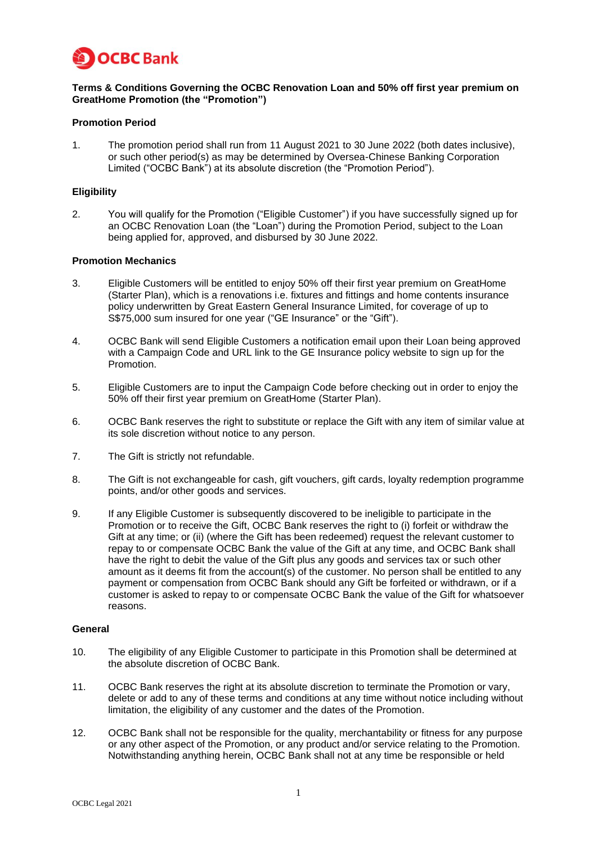

## **Terms & Conditions Governing the OCBC Renovation Loan and 50% off first year premium on GreatHome Promotion (the "Promotion")**

## **Promotion Period**

1. The promotion period shall run from 11 August 2021 to 30 June 2022 (both dates inclusive), or such other period(s) as may be determined by Oversea-Chinese Banking Corporation Limited ("OCBC Bank") at its absolute discretion (the "Promotion Period").

# **Eligibility**

2. You will qualify for the Promotion ("Eligible Customer") if you have successfully signed up for an OCBC Renovation Loan (the "Loan") during the Promotion Period, subject to the Loan being applied for, approved, and disbursed by 30 June 2022.

## **Promotion Mechanics**

- 3. Eligible Customers will be entitled to enjoy 50% off their first year premium on GreatHome (Starter Plan), which is a renovations i.e. fixtures and fittings and home contents insurance policy underwritten by Great Eastern General Insurance Limited, for coverage of up to S\$75,000 sum insured for one year ("GE Insurance" or the "Gift").
- 4. OCBC Bank will send Eligible Customers a notification email upon their Loan being approved with a Campaign Code and URL link to the GE Insurance policy website to sign up for the Promotion.
- 5. Eligible Customers are to input the Campaign Code before checking out in order to enjoy the 50% off their first year premium on GreatHome (Starter Plan).
- 6. OCBC Bank reserves the right to substitute or replace the Gift with any item of similar value at its sole discretion without notice to any person.
- 7. The Gift is strictly not refundable.
- 8. The Gift is not exchangeable for cash, gift vouchers, gift cards, loyalty redemption programme points, and/or other goods and services.
- 9. If any Eligible Customer is subsequently discovered to be ineligible to participate in the Promotion or to receive the Gift, OCBC Bank reserves the right to (i) forfeit or withdraw the Gift at any time; or (ii) (where the Gift has been redeemed) request the relevant customer to repay to or compensate OCBC Bank the value of the Gift at any time, and OCBC Bank shall have the right to debit the value of the Gift plus any goods and services tax or such other amount as it deems fit from the account(s) of the customer. No person shall be entitled to any payment or compensation from OCBC Bank should any Gift be forfeited or withdrawn, or if a customer is asked to repay to or compensate OCBC Bank the value of the Gift for whatsoever reasons.

## **General**

- 10. The eligibility of any Eligible Customer to participate in this Promotion shall be determined at the absolute discretion of OCBC Bank.
- 11. OCBC Bank reserves the right at its absolute discretion to terminate the Promotion or vary, delete or add to any of these terms and conditions at any time without notice including without limitation, the eligibility of any customer and the dates of the Promotion.
- 12. OCBC Bank shall not be responsible for the quality, merchantability or fitness for any purpose or any other aspect of the Promotion, or any product and/or service relating to the Promotion. Notwithstanding anything herein, OCBC Bank shall not at any time be responsible or held